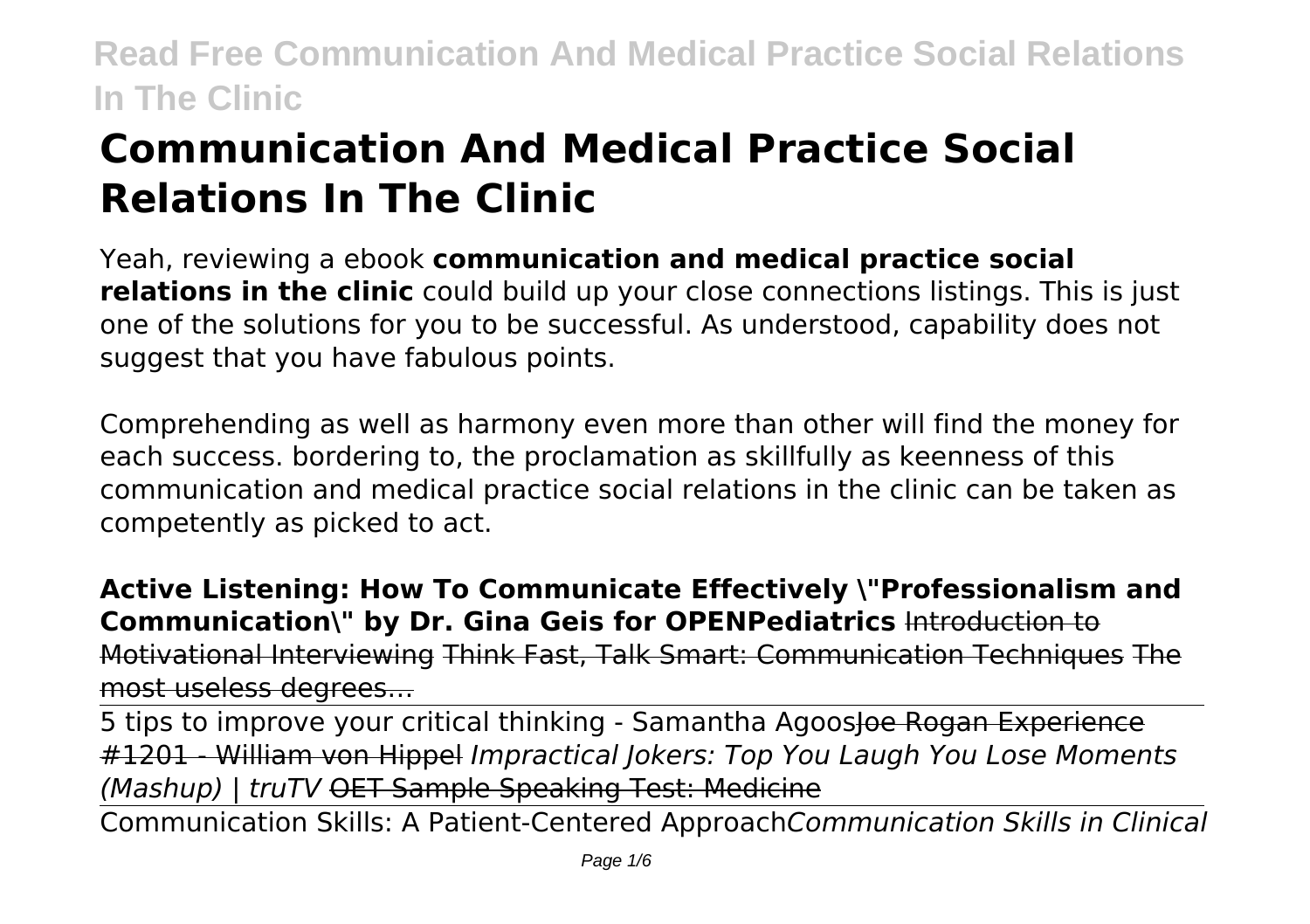# **Communication And Medical Practice Social Relations In The Clinic**

Yeah, reviewing a ebook **communication and medical practice social relations in the clinic** could build up your close connections listings. This is just one of the solutions for you to be successful. As understood, capability does not suggest that you have fabulous points.

Comprehending as well as harmony even more than other will find the money for each success. bordering to, the proclamation as skillfully as keenness of this communication and medical practice social relations in the clinic can be taken as competently as picked to act.

**Active Listening: How To Communicate Effectively \"Professionalism and Communication\" by Dr. Gina Geis for OPENPediatrics** Introduction to Motivational Interviewing Think Fast, Talk Smart: Communication Techniques The most useless degrees…

5 tips to improve your critical thinking - Samantha Agoosloe Rogan Experience #1201 - William von Hippel *Impractical Jokers: Top You Laugh You Lose Moments (Mashup) | truTV* OET Sample Speaking Test: Medicine

Communication Skills: A Patient-Centered Approach*Communication Skills in Clinical*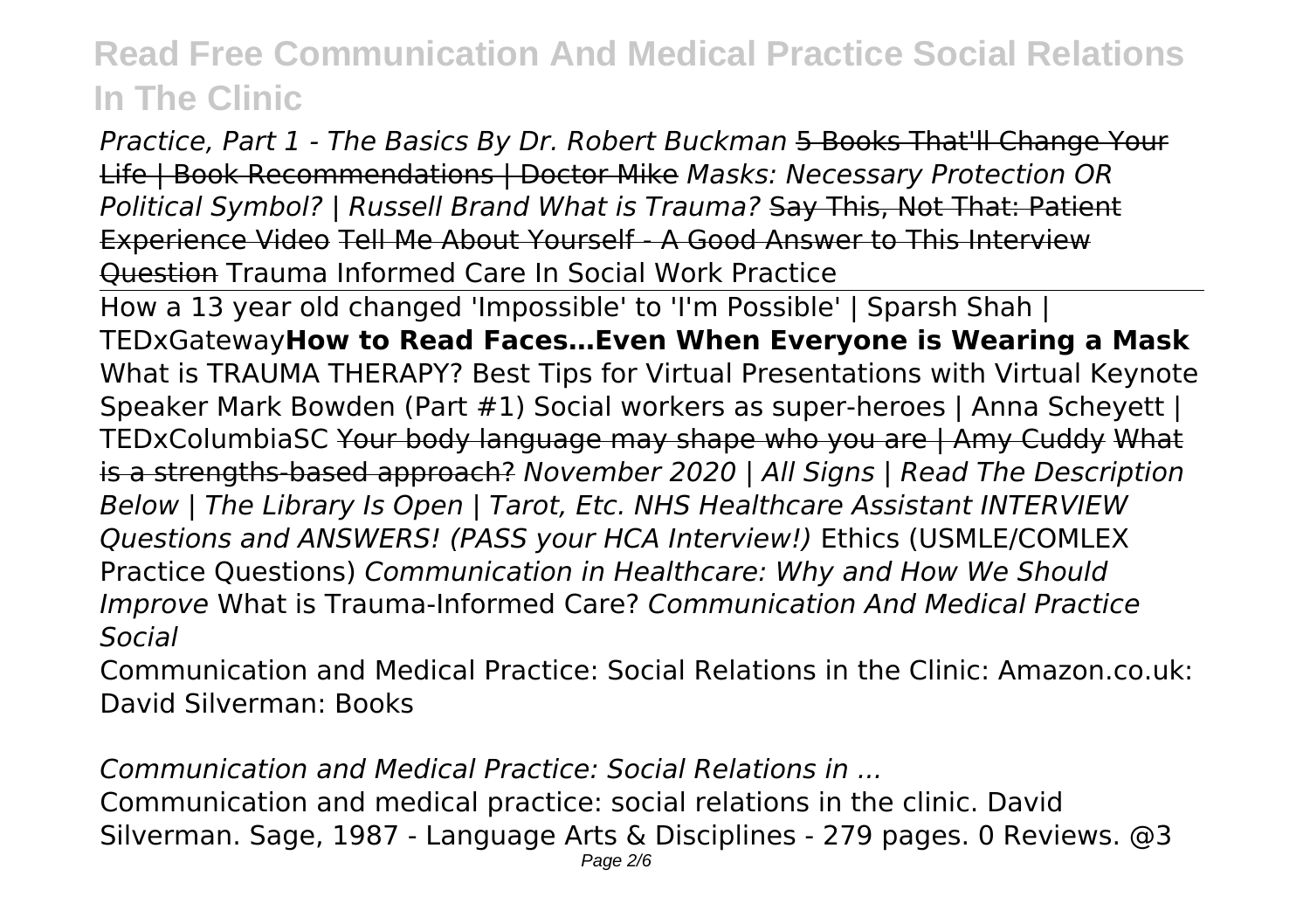*Practice, Part 1 - The Basics By Dr. Robert Buckman* 5 Books That'll Change Your Life | Book Recommendations | Doctor Mike *Masks: Necessary Protection OR Political Symbol? | Russell Brand What is Trauma?* Say This, Not That: Patient Experience Video Tell Me About Yourself - A Good Answer to This Interview Question Trauma Informed Care In Social Work Practice

How a 13 year old changed 'Impossible' to 'I'm Possible' | Sparsh Shah | TEDxGateway**How to Read Faces…Even When Everyone is Wearing a Mask** What is TRAUMA THERAPY? Best Tips for Virtual Presentations with Virtual Keynote Speaker Mark Bowden (Part #1) Social workers as super-heroes | Anna Scheyett | TEDxColumbiaSC Your body language may shape who you are | Amy Cuddy What is a strengths-based approach? *November 2020 | All Signs | Read The Description Below | The Library Is Open | Tarot, Etc. NHS Healthcare Assistant INTERVIEW Questions and ANSWERS! (PASS your HCA Interview!)* Ethics (USMLE/COMLEX Practice Questions) *Communication in Healthcare: Why and How We Should Improve* What is Trauma-Informed Care? *Communication And Medical Practice Social*

Communication and Medical Practice: Social Relations in the Clinic: Amazon.co.uk: David Silverman: Books

*Communication and Medical Practice: Social Relations in ...*

Communication and medical practice: social relations in the clinic. David Silverman. Sage, 1987 - Language Arts & Disciplines - 279 pages. 0 Reviews. @3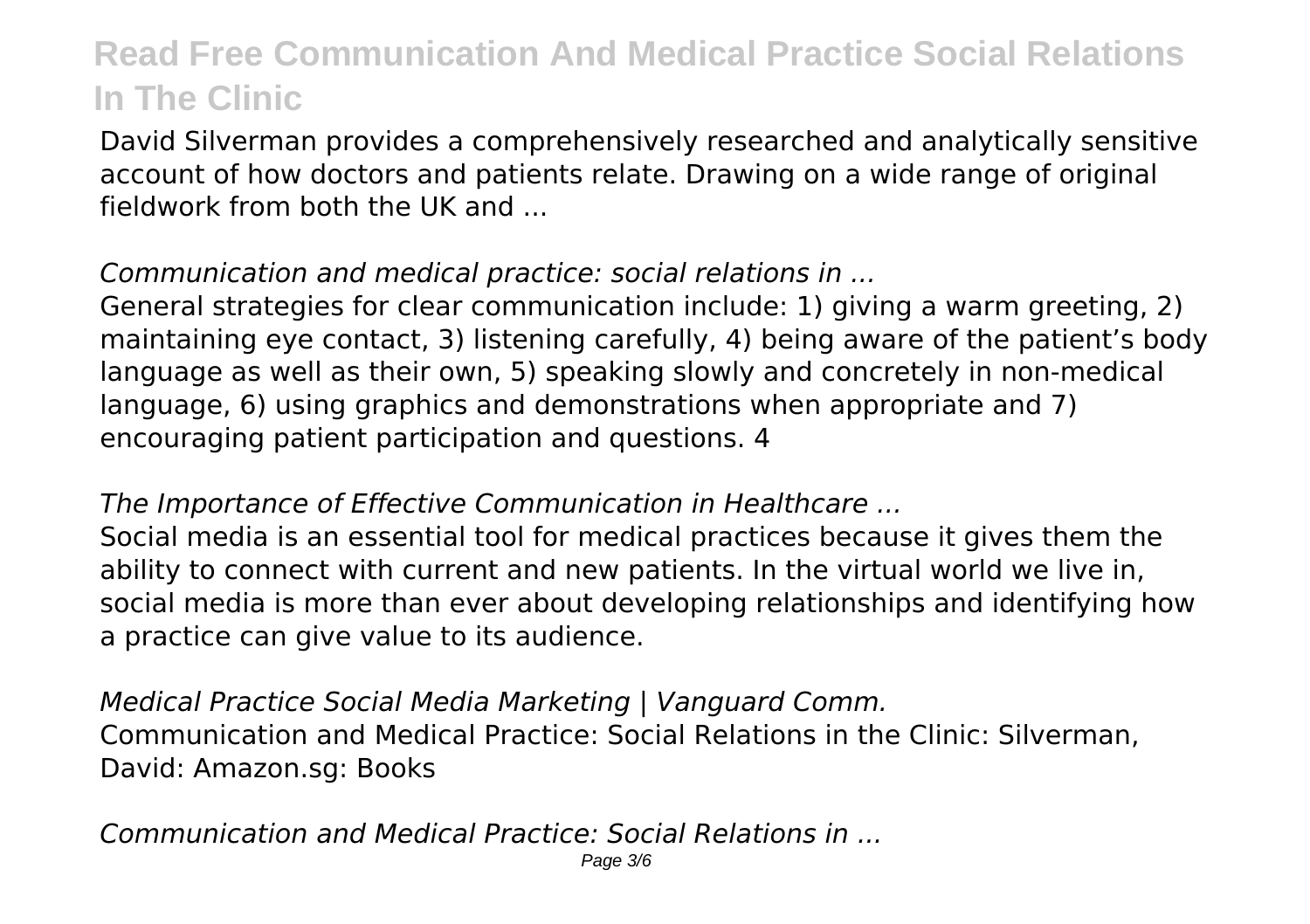David Silverman provides a comprehensively researched and analytically sensitive account of how doctors and patients relate. Drawing on a wide range of original fieldwork from both the UK and

### *Communication and medical practice: social relations in ...*

General strategies for clear communication include: 1) giving a warm greeting, 2) maintaining eye contact, 3) listening carefully, 4) being aware of the patient's body language as well as their own, 5) speaking slowly and concretely in non-medical language, 6) using graphics and demonstrations when appropriate and 7) encouraging patient participation and questions. 4

#### *The Importance of Effective Communication in Healthcare ...*

Social media is an essential tool for medical practices because it gives them the ability to connect with current and new patients. In the virtual world we live in, social media is more than ever about developing relationships and identifying how a practice can give value to its audience.

*Medical Practice Social Media Marketing | Vanguard Comm.* Communication and Medical Practice: Social Relations in the Clinic: Silverman, David: Amazon.sg: Books

*Communication and Medical Practice: Social Relations in ...*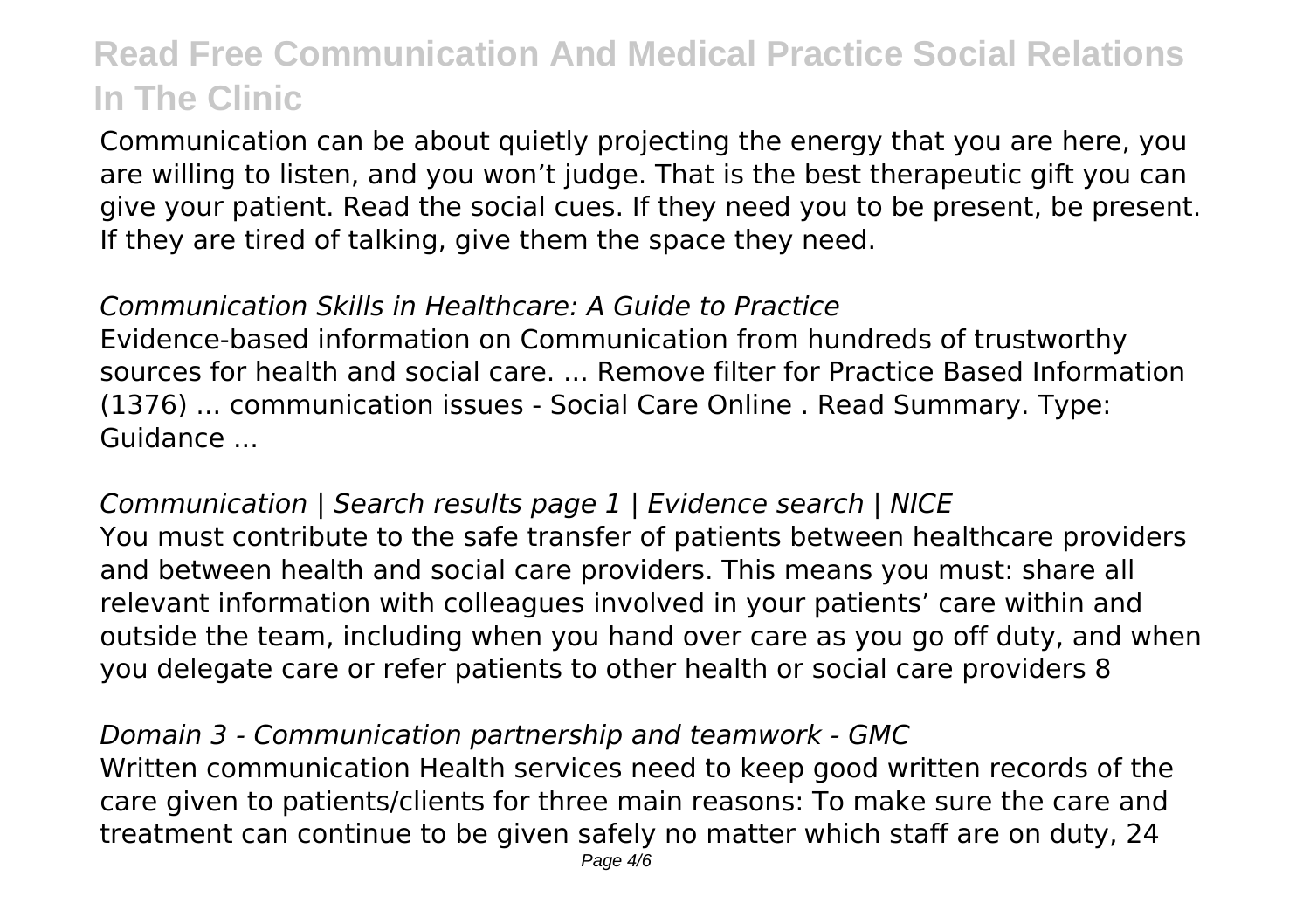Communication can be about quietly projecting the energy that you are here, you are willing to listen, and you won't judge. That is the best therapeutic gift you can give your patient. Read the social cues. If they need you to be present, be present. If they are tired of talking, give them the space they need.

#### *Communication Skills in Healthcare: A Guide to Practice*

Evidence-based information on Communication from hundreds of trustworthy sources for health and social care. ... Remove filter for Practice Based Information (1376) ... communication issues - Social Care Online . Read Summary. Type: Guidance ...

*Communication | Search results page 1 | Evidence search | NICE* You must contribute to the safe transfer of patients between healthcare providers and between health and social care providers. This means you must: share all relevant information with colleagues involved in your patients' care within and outside the team, including when you hand over care as you go off duty, and when you delegate care or refer patients to other health or social care providers 8

*Domain 3 - Communication partnership and teamwork - GMC* Written communication Health services need to keep good written records of the care given to patients/clients for three main reasons: To make sure the care and treatment can continue to be given safely no matter which staff are on duty, 24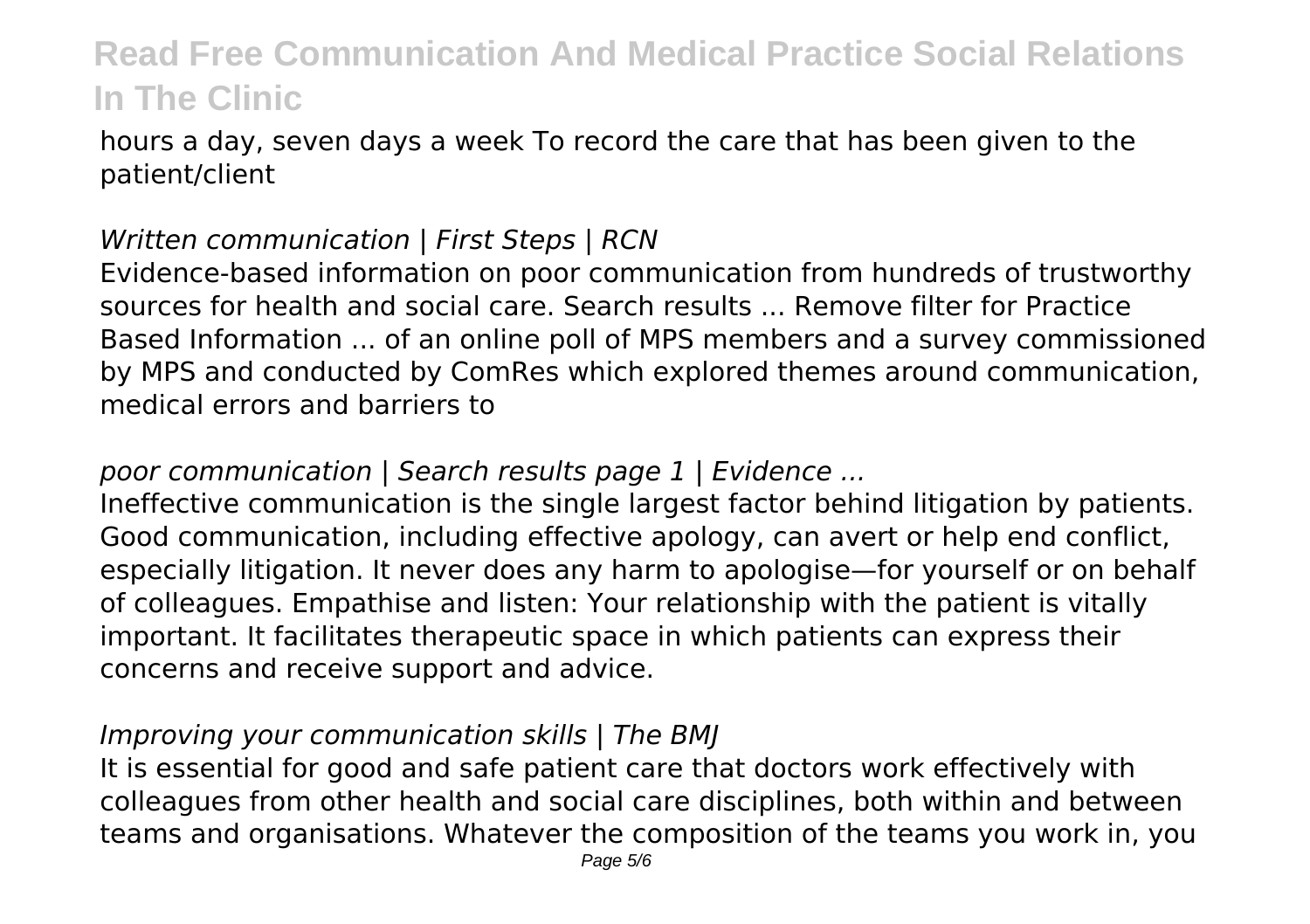hours a day, seven days a week To record the care that has been given to the patient/client

### *Written communication | First Steps | RCN*

Evidence-based information on poor communication from hundreds of trustworthy sources for health and social care. Search results ... Remove filter for Practice Based Information ... of an online poll of MPS members and a survey commissioned by MPS and conducted by ComRes which explored themes around communication, medical errors and barriers to

### *poor communication | Search results page 1 | Evidence ...*

Ineffective communication is the single largest factor behind litigation by patients. Good communication, including effective apology, can avert or help end conflict, especially litigation. It never does any harm to apologise—for yourself or on behalf of colleagues. Empathise and listen: Your relationship with the patient is vitally important. It facilitates therapeutic space in which patients can express their concerns and receive support and advice.

#### *Improving your communication skills | The BMJ*

It is essential for good and safe patient care that doctors work effectively with colleagues from other health and social care disciplines, both within and between teams and organisations. Whatever the composition of the teams you work in, you